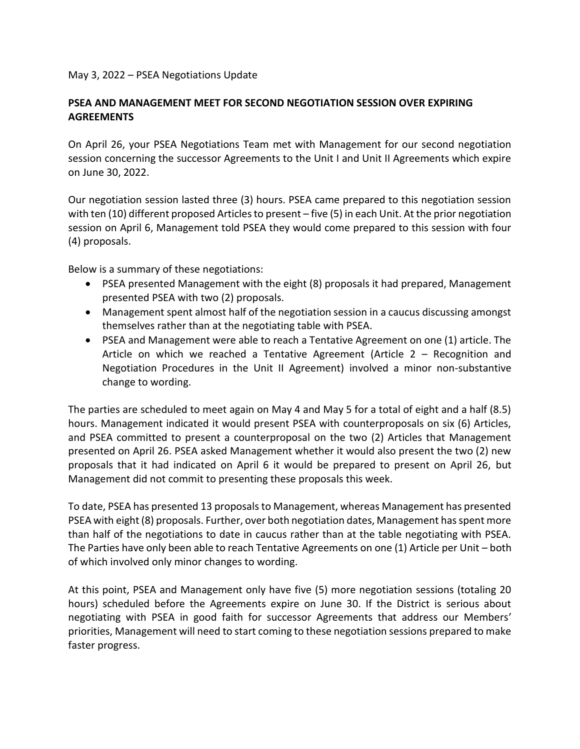## May 3, 2022 – PSEA Negotiations Update

## **PSEA AND MANAGEMENT MEET FOR SECOND NEGOTIATION SESSION OVER EXPIRING AGREEMENTS**

On April 26, your PSEA Negotiations Team met with Management for our second negotiation session concerning the successor Agreements to the Unit I and Unit II Agreements which expire on June 30, 2022.

Our negotiation session lasted three (3) hours. PSEA came prepared to this negotiation session with ten (10) different proposed Articles to present – five (5) in each Unit. At the prior negotiation session on April 6, Management told PSEA they would come prepared to this session with four (4) proposals.

Below is a summary of these negotiations:

- PSEA presented Management with the eight (8) proposals it had prepared, Management presented PSEA with two (2) proposals.
- Management spent almost half of the negotiation session in a caucus discussing amongst themselves rather than at the negotiating table with PSEA.
- PSEA and Management were able to reach a Tentative Agreement on one (1) article. The Article on which we reached a Tentative Agreement (Article 2 – Recognition and Negotiation Procedures in the Unit II Agreement) involved a minor non-substantive change to wording.

The parties are scheduled to meet again on May 4 and May 5 for a total of eight and a half (8.5) hours. Management indicated it would present PSEA with counterproposals on six (6) Articles, and PSEA committed to present a counterproposal on the two (2) Articles that Management presented on April 26. PSEA asked Management whether it would also present the two (2) new proposals that it had indicated on April 6 it would be prepared to present on April 26, but Management did not commit to presenting these proposals this week.

To date, PSEA has presented 13 proposals to Management, whereas Management has presented PSEA with eight (8) proposals. Further, over both negotiation dates, Management has spent more than half of the negotiations to date in caucus rather than at the table negotiating with PSEA. The Parties have only been able to reach Tentative Agreements on one (1) Article per Unit – both of which involved only minor changes to wording.

At this point, PSEA and Management only have five (5) more negotiation sessions (totaling 20 hours) scheduled before the Agreements expire on June 30. If the District is serious about negotiating with PSEA in good faith for successor Agreements that address our Members' priorities, Management will need to start coming to these negotiation sessions prepared to make faster progress.